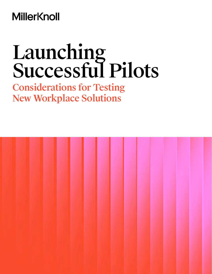# **MillerKnoll**

# Launching Successful Pilots

Considerations for Testing New Workplace Solutions

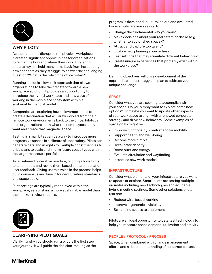

#### WHY PILOT?

As the pandemic disrupted the physical workplace, it created significant opportunities for organizations to reimagine how and where they work. Lingering uncertainty has held many firms back from introducing new concepts as they struggle to answer the challenging question "What is the role of the office today?"

Running a pilot is a low-risk approach that allows organizations to take the first step toward a new workplace solution. It provides an opportunity to introduce the hybrid workplace and new ways of working in the workplace ecosystem within a sustainable financial model.

Companies are exploring how to leverage space to create a destination that will draw workers from their remote work environments back to the office. Pilots can help organizations learn what their employees really want and create that magnetic space.

Testing in small bites can be a way to introduce more progressive spaces in a climate of uncertainty. Pilots can generate data and insights for multiple constituencies to drive plans to scale and inform future space types within the larger real estate portfolio.

As an inherently iterative practice, piloting allows firms to test models and revise them based on hard data and user feedback. Giving users a voice in the process helps build consensus and buy-in for new furniture standards and space design.

Pilot settings are typically redeployed within the workplace, establishing a more sustainable model than the mockup review process.



### CLARIFYING PILOT GOALS

Clarifying why you should run a pilot is the first step in your journey. It will guide the decision-making as the

program is developed, built, rolled out and evaluated. For example, are you seeking to:

- Change the fundamental way you work?
- Make decisions about your real estate portfolio (e.g. whether to add or shed space)?
- Attract and capture top talent?
- Explore new planning approaches?
- Test settings that may stimulate different behaviors?
- Create unique experiences that primarily exist within the workplace?

Defining objectives will drive development of the appropriate pilot strategy and plan to address your unique challenge.

#### **SPACE**

Consider what you are seeking to accomplish with your space. Do you simply want to explore some new options? Or maybe you want to update other aspects of your workspace to align with a renewed corporate strategy and drive new behaviors. Some examples of space goals might be:

- Improve functionality, comfort and/or mobility
- Support health and well-being
- Become more nimble
- Recalibrate density
- Boost buzz and energy
- Evaluate circulation and wayfinding
- Introduce new work modes

#### INFRASTRUCTURE

Consider what elements of your infrastructure you want to update or explore. Smart pilots are testing multiple variables including new technologies and equitable hybrid meeting settings. Some other solutions pilots test are:

- Reduce wire-based working
- Improve ergonomics, visibility
- Streamline access to equipment

Pilots are an ideal opportunity to beta test technology to help you measure space demand, utilization and activity.

#### PEOPLE / PROTOCOL / PROCESS

Space, when combined with change management efforts and a deep understanding of corporate culture,

# **MillerKnoll**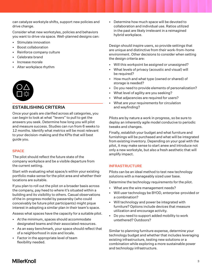can catalyze workstyle shifts, support new policies and drive change.

Consider what new workstyles, policies and behaviors you want to drive via space. Well-planned designs can:

- Stimulate innovation
- Boost collaboration
- Reinforce company culture
- Celebrate brand
- Increase morale
- Alter workplace rhythm



#### ESTABLISHING CRITERIA

Once your goals are clarified across all categories, you can begin to look at what "levers" to pull to get the answers you seek. Determine how long you will pilot and measure success. Studies can run from 6 weeks to 12 months. Identify what metrics will be most relevant to your decision-making and the KPIs that will best guide you.

#### **SPACE**

The pilot should reflect the future state of the company workplace and be a visible departure from the current setting.

Start with evaluating what space/s within your existing portfolio make sense for the pilot area and whether their locations are suitable.

If you plan to roll out the pilot on a broader basis across the company, pay heed to where it's situated within a building and its visibility to others. Casual observations of the in-progress model by passersby (who could conceivably be future pilot participants) might pique interest in adopting a similar plan in their team's space.

Assess what spaces have the capacity for a suitable pilot.

- At the minimum, spaces should accommodate designated teams and their associated resources.
- As an easy benchmark, your space should reflect that of a neighborhood in size and locale.
- Factor in the appropriate level of team flexibility needed.

• Determine how much space will be devoted to collaboration and individual use. Ratios utilized in the past are likely irrelevant in a reimagined hybrid workplace.

Design should inspire users, so provide settings that are unique and distinctive from their work-from-home environment. Other decisions to consider when setting the design criteria are:

- Will this workpoint be assigned or unassigned?
- What levels of privacy (acoustic and visual) will be required?
- How much and what type (owned or shared) of storage is needed?
- Do you need to provide elements of personalization?
- What level of agility are you seeking?
- What adjacencies are required for users?
- What are your requirements for circulation and wayfinding?

Pilots are by nature a work in progress, so be sure to deploy an inherently agile model conducive to periodic tweaks and changes.

Finally, establish your budget and what furniture and furnishings will be purchased and what will be integrated from existing inventory. Depending on your goal with the pilot, it may make sense to start anew and introduce not only a new workstyle, but also a fresh aesthetic that will amplify impact.

#### INFRASTRUCTURE

Pilots can be an ideal method to test new technology solutions with a manageably sized user base.

Determine the technology requirements for the pilot.

- What are the wire management needs?
- Will user technology be BYOD, enterprise-provided or a combination?
- Will technology and power be integrated with furniture? Options include devices that measure utilization and encourage activity.
- Do you need to support added mobility to work untethered? Outdoors?

Similar to planning furniture expense, determine your technology budget and whether that includes leveraging existing infrastructure, testing new solutions or a combination while exploring a more sustainable power and technology infrastructure.

# **MillerKnoll**